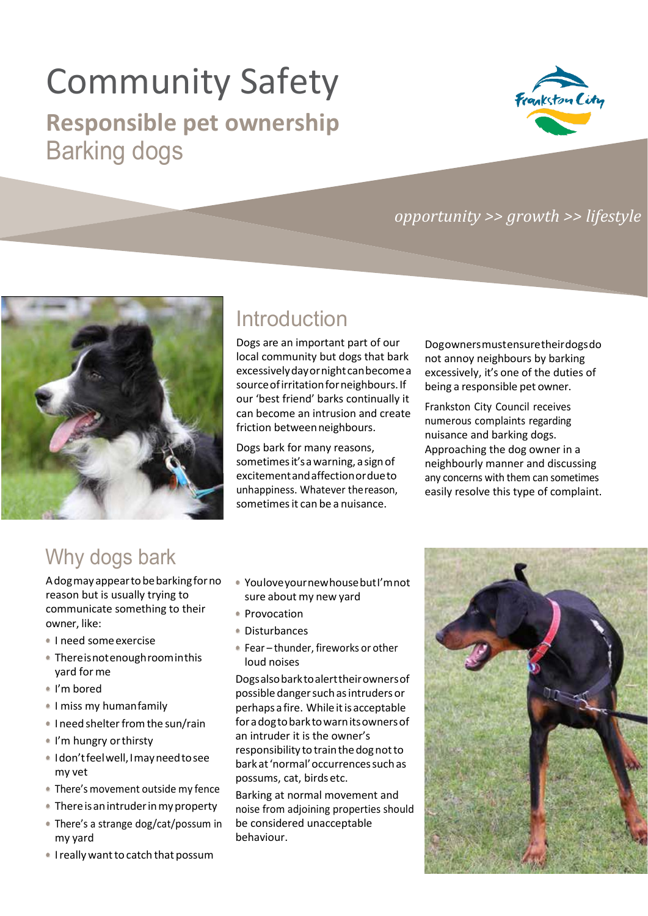# Community Safety

## **Responsible pet ownership** Barking dogs



#### *opportunity >> growth >> lifestyle*



## Introduction

Dogs are an important part of our local community but dogs that bark excessivelydayornightcanbecomea source of irritation for neighbours. If our 'best friend' barks continually it can become an intrusion and create friction betweenneighbours.

Dogs bark for many reasons, sometimesit'sawarning, asignof excitementandaffectionordueto unhappiness. Whatever thereason, sometimes it can be a nuisance.

Dogownersmustensuretheirdogsdo not annoy neighbours by barking excessively, it's one of the duties of being a responsible pet owner.

Frankston City Council receives numerous complaints regarding nuisance and barking dogs. Approaching the dog owner in a neighbourly manner and discussing any concerns with them can sometimes easily resolve this type of complaint.

## Why dogs bark

Adogmayappeartobebarkingforno reason but is usually trying to communicate something to their owner, like:

- **•** I need someexercise
- **•** Thereisnotenoughroominthis yard forme
- **•** I'm bored
- **•** I miss my humanfamily
- I need shelter from the sun/rain
- **•** I'm hungry orthirsty
- **•** Idon'tfeelwell,Imayneedtosee my vet
- **•** There's movement outside my fence
- **•** Thereisanintruderinmyproperty
- **•** There's a strange dog/cat/possum in my yard
- I really want to catch that possum
- **•** YouloveyournewhousebutI'mnot sure about my new yard
- **•** Provocation
- **•** Disturbances
- **•** Fear thunder, fireworks or other loud noises

Dogsalsobarktoalerttheirownersof possible danger such as intruders or perhaps a fire. While it is acceptable foradogtobarktowarnitsownersof an intruder it is the owner's responsibility to train the dog not to barkat'normal'occurrencessuchas possums, cat, birdsetc.

Barking at normal movement and noise from adjoining properties should be considered unacceptable behaviour.

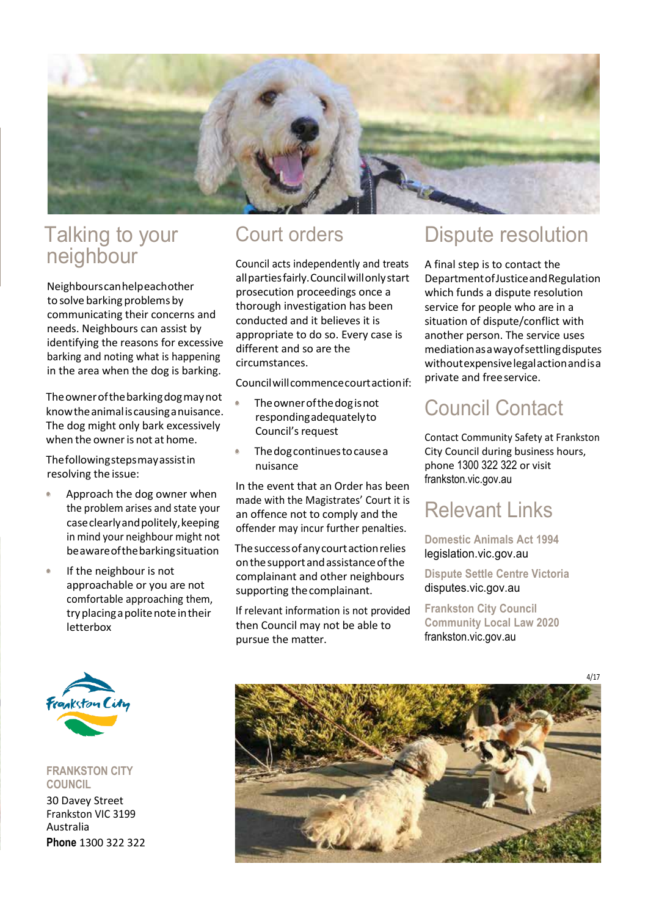

### Talking to your neighbour

Neighbourscanhelpeachother to solve barking problems by communicating their concerns and needs. Neighbours can assist by identifying the reasons for excessive barking and noting what is happening in the area when the dog is barking.

Theownerofthebarkingdogmaynot knowtheanimaliscausinganuisance. The dog might only bark excessively when the owner is not at home.

Thefollowingstepsmayassistin resolving the issue:

- **•** Approach the dog owner when the problem arises and state your caseclearlyandpolitely,keeping in mind your neighbour might not beawareofthebarkingsituation
- **•** If the neighbour is not approachable or you are not comfortable approaching them, try placing a polite note in their letterbox

#### Court orders

Council acts independently and treats allpartiesfairly.Councilwillonlystart prosecution proceedings once a thorough investigation has been conducted and it believes it is appropriate to do so. Every case is different and so are the circumstances.

Councilwillcommencecourtactionif:

- **•** Theownerofthedogisnot respondingadequatelyto Council's request
- **•** Thedogcontinuestocausea nuisance

In the event that an Order has been made with the Magistrates' Court it is an offence not to comply and the offender may incur further penalties.

Thesuccessofanycourtactionrelies onthesupportandassistanceofthe complainant and other neighbours supporting thecomplainant.

If relevant information is not provided then Council may not be able to pursue the matter.

### Dispute resolution

A final step is to contact the DepartmentofJusticeandRegulation which funds a dispute resolution service for people who are in a situation of dispute/conflict with another person. The service uses mediationasawayofsettlingdisputes withoutexpensivelegalactionandisa private and freeservice.

## Council Contact

Contact Community Safety at Frankston City Council during business hours, phone 1300 322 322 or visit frankston.vic.gov.au

## Relevant Links

**Domestic Animals Act 1994** legislation.vic.gov.au

**Dispute Settle Centre Victoria** disputes.vic.gov.au

**Frankston City Council Community Local Law 2020** frankston.vic.gov.au



**FRANKSTON CITY COUNCIL** 30 Davey Street Frankston VIC 3199 Australia

**Phone** 1300 322 322